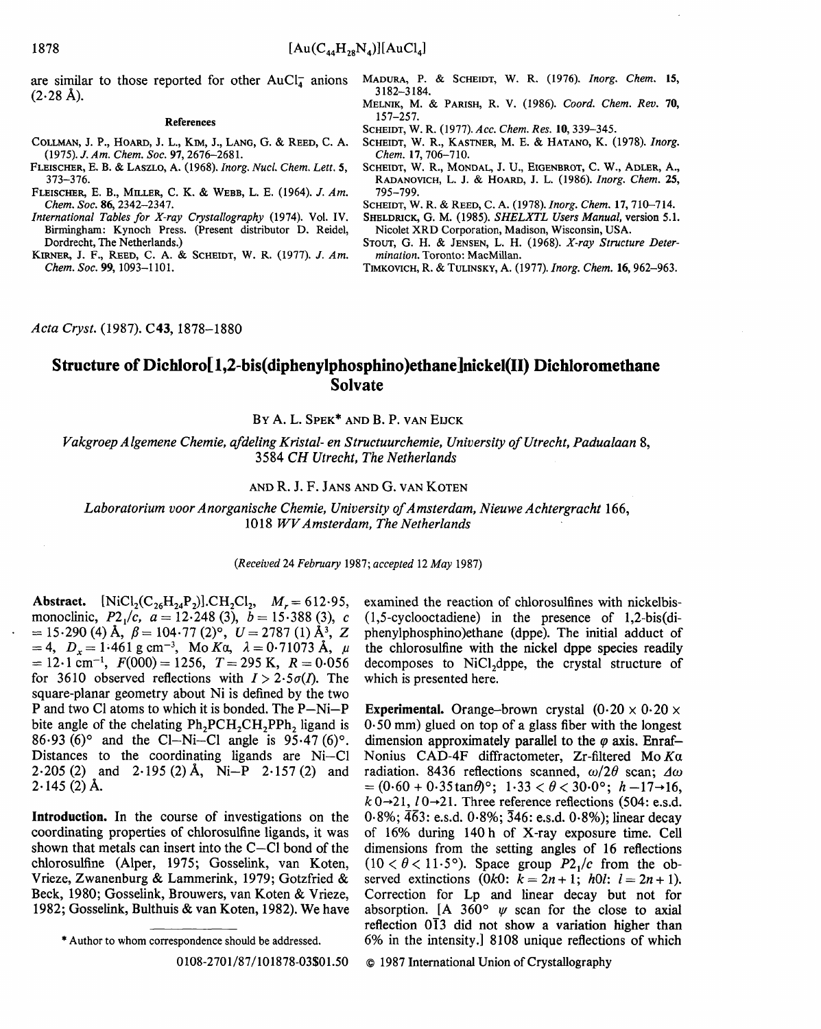are similar to those reported for other  $AuCl<sub>4</sub><sup>-</sup>$  anions  $(2.28 \text{ Å})$ .

#### **References**

- COLLMAN, J. P., HOARD, J. L., Kml, J., LANG, G. & REED, C. A. (1975). J. *Am. Chem. Soc.* 97, 2676-2681.
- FLEISCHER, E. B. & LASZLO, A. (1968). *Inorg. Nucl. Chem. Lett. 5,*  373-376.
- FLEISCHER, E. B., MILLER, C. K. & WEBB, L. E. (1964). *J. Am. Chem. Soc.* 86, 2342-2347.
- *International Tables for X-ray Crystallography* (1974). Vol. IV. Birmingham: Kynoch Press. (Present distributor D. Reidel, Dordrecht, The Netherlands.)
- KIRNER, J. F., REED, C. A. & SCHEIDT, W. R. (1977). *J. Am. Chem. Soc.* 99, 1093-I 101.
- MADURA, P. & SCHEIDT, W. R. (1976). *Inorg. Chem.* 15, 3182-3184.
- MELNIK, M. & PARISH, R. V. (1986). *Coord. Chem. Rev.* 70, 157-257.
- SCHEIDT, W. R. (1977). *Acc. Chem. Res.* 10, 339-345.
- SCHEIDT, W. R., KASTNER, M. E. & HATANO, K. (1978). *Inorg. Chem.* 17, 706-710.
- SCHEIDT, W. R., MONDAL, J. U., EIGENBROT, C. W., ADLER, A., RADANOVICH, L. J. & HOARD, J. L. (1986). *Inorg. Chem.* 25, 795-799.

SCHEIDT, W. R. & REED, C. A. (1978). *Inorg. Chem.* 17, 710-714.

- SHELDRICK, G. M. (1985). *SHELXTL Users Manual*, version 5.1. Nicolet XRD Corporation, Madison, Wisconsin, USA.
- STOUT, G. H. & JENSEN, L. H. (1968). *X-ray Structure Determination.* Toronto: MacMillan.
- TIMKOXrtcrI, R. & TtrLrNSKY, A. (1977). *Inorg. Chem.* 16, 962-963.

*Acta Cryst.* (1987). C43, 1878-1880

# **Structure of Dichloro[ 1,2-bis(diphenylphosphino)ethane]nickel(lI) Dichloromethane Solvate**

BY A. L. SPEK<sup>\*</sup> AND B. P. VAN EUCK

*Vakgroep A lgemene Chemie, afdeling Kristal- en Structuurchemie, University of Utrecht, Padualaan* 8, 3584 *CH Utrecht, The Netherlands* 

### AND **R. J. F.** JANS AND G. VAN KOTEN

Laboratorium voor Anorganische Chemie, University of Amsterdam, Nieuwe Achtergracht 166, 1018 *WV Amsterdam, The Netherlands* 

*(Received* 24 *February* 1987; *accepted* 12 *May* 1987)

Abstract.  $[NiCl_2(C_{26}H_{24}P_2)].CH_2Cl_2$ ,  $M_r = 612.95$ , monoclinic,  $P2_1/c$ ,  $a = 12.248$  (3),  $b = 15.388$  (3), c  $= 15.290$  (4) Å,  $\beta = 104.77$  (2)<sup>o</sup>,  $U = 2787$  (1) Å<sup>3</sup>, Z  $=4$ ,  $D_x=1.461$  g cm<sup>-3</sup>, Mo Ka,  $\lambda = 0.71073$  Å,  $\mu$  $= 12.1$  cm<sup>-1</sup>,  $F(000) = 1256$ ,  $T = 295$  K,  $R = 0.056$ for 3610 observed reflections with  $I > 2.5\sigma(I)$ . The square-planar geometry about Ni is defined by the two P and two C1 atoms to which it is bonded. The P-Ni-P bite angle of the chelating  $Ph_2PCH_2CH_2PPh_2$  ligand is 86.93 (6)<sup>o</sup> and the Cl-Ni-Cl angle is  $95.47$  (6)<sup>o</sup>. Distances to the coordinating ligands are Ni-C1 2.205 (2) and 2.195 (2) Å, Ni-P 2.157 (2) and  $2.145(2)$  Å.

**Introduetion.** In the course of investigations on the coordinating properties of chlorosulfine ligands, it was shown that metals can insert into the C-C1 bond of the chlorosulfine (Alper, 1975; Gosselink, van Koten, Vrieze, Zwanenburg & Lammerink, 1979; Gotzfried & Beck, 1980; Gosselink, Brouwers, van Koten & Vrieze, 1982; Gosselink, Bulthuis & van Koten, 1982). We have

0108-2701/87/101878-03501.50

examined the reaction of chlorosulfines with nickelbis- (1,5-cyclooctadiene) in the presence of 1,2-bis(diphenylphosphino)ethane (dppe). The initial adduet of the chlorosulfine with the nickel dppe species readily decomposes to NiCl<sub>2</sub>dppe, the crystal structure of which is presented here.

**Experimental.** Orange-brown crystal  $(0.20 \times 0.20 \times$ 0.50 mm) glued on top of a glass fiber with the longest dimension approximately parallel to the  $\varphi$  axis. Enraf-Nonius CAD-4F diffractometer, Zr-filtered Mo $Ka$ radiation. 8436 reflections scanned,  $\omega/2\theta$  scan;  $\Delta\omega$  $= (0.60 + 0.35 \tan \theta)$ °;  $1.33 < \theta < 30.0$ °;  $h = 17 \rightarrow 16$ ,  $k \theta \rightarrow 21$ ,  $l \theta \rightarrow 21$ . Three reference reflections (504: e.s.d.  $0.8\%$ ;  $\overline{46}3$ : e.s.d.  $0.8\%$ ;  $\overline{346}$ : e.s.d.  $0.8\%$ ); linear decay of 16% during 140h of X-ray exposure time. Cell dimensions from the setting angles of 16 reflections  $(10 < \theta < 11.5^{\circ})$ . Space group  $P2_1/c$  from the observed extinctions (0k0:  $k = 2n + 1$ ; *hOl:*  $l = 2n + 1$ ). Correction for Lp and linear decay but not for absorption. [A  $360^{\circ}$   $\psi$  scan for the close to axial reflection  $0\overline{1}3$  did not show a variation higher than 6% in the intensity.] 8108 unique reflections of which

© 1987 International Union of Crystallography

<sup>\*</sup> Author to whom correspondence should be addressed.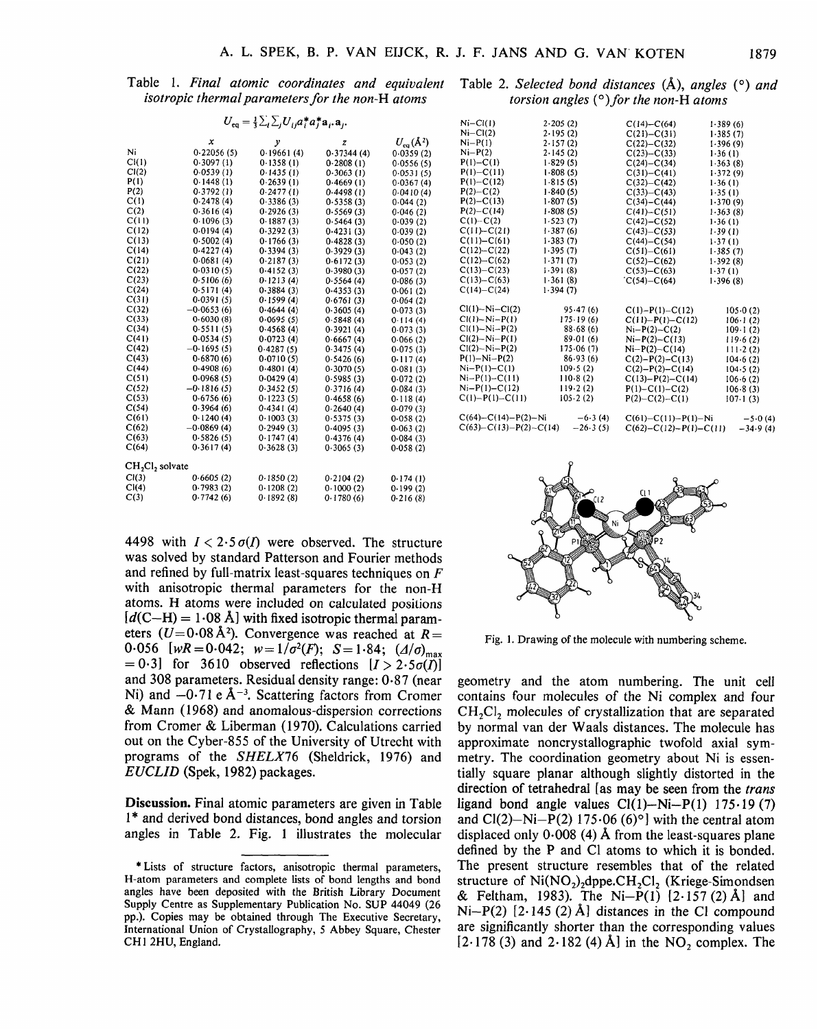**Table 1.** *Final atomic coordinates and equivalent isotropic thermal parameters for the non-H atoms* 

|  | Table 2. Selected bond distances $(A)$ , angles $(°)$ and |  |
|--|-----------------------------------------------------------|--|
|  | torsion angles $(°)$ for the non-H atoms                  |  |

|                  | $U_{\text{eq}} = \frac{1}{3} \sum_{i} \sum_{j} U_{ij} a_{i}^{*} a_{j}^{*} a_{i} a_{j}.$ |            |            |                 | $Ni-Cl(1)$                     | 2.205(2)         |
|------------------|-----------------------------------------------------------------------------------------|------------|------------|-----------------|--------------------------------|------------------|
|                  |                                                                                         |            |            |                 | $Ni-CI(2)$                     | 2.195(2)         |
|                  | $\pmb{\mathsf{x}}$                                                                      | у          | z          | $U_{eq}(\AA^2)$ | $Ni-P(1)$                      | 2.157(2)         |
| N.               | 0.22056(5)                                                                              | 0.19661(4) | 0.37344(4) | 0.0359(2)       | $Ni-P(2)$                      | 2.145(2)         |
| Cl(1)            | 0.3097(1)                                                                               | 0.1358(1)  | 0.2808(1)  | 0.0556(5)       | $P(1) - C(1)$                  | 1.829(5)         |
| Cl(2)            | 0.0539(1)                                                                               | 0.1435(1)  | 0.3063(1)  | 0.0531(5)       | $P(1) - C(11)$                 | 1.808(5)         |
| P(1)             | 0.1448(1)                                                                               | 0.2639(1)  | 0.4669(1)  | 0.0367(4)       | $P(1) - C(12)$                 | 1.815(5)         |
| P(2)             | 0.3792(1)                                                                               | 0.2477(1)  | 0.4498(1)  | 0.0410(4)       | $P(2) - C(2)$                  | 1.840(5)         |
| C(1)             | 0.2478(4)                                                                               | 0.3386(3)  | 0.5358(3)  | 0.044(2)        | $P(2) - C(13)$                 | 1.807(5)         |
| C(2)             | 0.3616(4)                                                                               | 0.2926(3)  | 0.5569(3)  | 0.046(2)        | $P(2) - C(14)$                 | 1.808(5)         |
| C(11)            | 0.1096(3)                                                                               | 0.1887(3)  | 0.5464(3)  | 0.039(2)        | $C(1) - C(2)$                  | 1.523(7)         |
| C(12)            | 0.0194(4)                                                                               | 0.3292(3)  | 0.4231(3)  | 0.039(2)        | $C(11) - C(21)$                | 1.387(6)         |
| C(13)            | 0.5002(4)                                                                               | 0.1766(3)  | 0.4828(3)  | 0.050(2)        | $C(11)-C(61)$                  | 1.383(7)         |
| C(14)            | 0.4227(4)                                                                               | 0.3394(3)  | 0.3929(3)  | 0.043(2)        | $C(12) - C(22)$                | 1.395(7)         |
| C(21)            | 0.0681(4)                                                                               | 0.2187(3)  | 0.6172(3)  | 0.053(2)        | $C(12) - C(62)$                | 1.371(7)         |
| C(22)            | 0.0310(5)                                                                               | 0.4152(3)  | 0.3980(3)  | 0.057(2)        | $C(13) - C(23)$                | 1.391(8)         |
| C(23)            | 0.5106(6)                                                                               | 0.1213(4)  | 0.5564(4)  | 0.086(3)        | $C(13)-C(63)$                  | 1.361(8)         |
| C(24)            | 0.5171(4)                                                                               | 0.3884(3)  | 0.4353(3)  | 0.061(2)        | $C(14) - C(24)$                | 1.394(7)         |
| C(31)            | 0.0391(5)                                                                               | 0.1599(4)  | 0.6761(3)  | 0.064(2)        |                                |                  |
| C(32)            | $-0.0653(6)$                                                                            | 0.4644(4)  | 0.3605(4)  | 0.073(3)        | $Cl(1) - Ni - Cl(2)$           | 95.47(6)         |
| C(33)            | 0.6030(8)                                                                               | 0.0695(5)  | 0.5848(4)  | 0.114(4)        | $Cl(1) - Ni - P(1)$            | 175.19(6)        |
| C(34)            | 0.5511(5)                                                                               | 0.4568(4)  | 0.3921(4)  | 0.073(3)        | $Cl(1) - Ni - P(2)$            | 88.68(6)         |
| C(41)            | 0.0534(5)                                                                               | 0.0723(4)  | 0.6667(4)  | 0.066(2)        | $CI(2)-Ni-P(1)$                | 89.01(6)         |
| C(42)            | $-0.1695(5)$                                                                            | 0.4287(5)  | 0.3475(4)  | 0.075(3)        | $Cl(2) - Ni - P(2)$            | 175.06(7)        |
| C(43)            | 0.6870(6)                                                                               | 0.0710(5)  | 0.5426(6)  | 0.117(4)        | $P(1) - Ni - P(2)$             | 86.93(6)         |
| C(44)            | 0.4908(6)                                                                               | 0.4801(4)  | 0.3070(5)  | 0.081(3)        | $Ni-P(1)-C(1)$                 | 109.5(2)         |
| C(51)            | 0.0968(5)                                                                               | 0.0429(4)  | 0.5985(3)  | 0.072(2)        | $Ni-P(1)-C(11)$                | 110.8(2)         |
| C(52)            | $-0.1816(5)$                                                                            | 0.3452(5)  | 0.3716(4)  | 0.084(3)        | $Ni-P(1)-C(12)$                | 119.2(2)         |
| C(53)            | 0.6756(6)                                                                               | 0.1223(5)  | 0.4658(6)  | 0.118(4)        | $C(1)-P(1)-C(11)$              | 105.2(2)         |
| C(54)            | 0.3964(6)                                                                               | 0.4341(4)  | 0.2640(4)  | 0.079(3)        |                                |                  |
| C(61)            | 0.1240(4)                                                                               | 0.1003(3)  | 0.5375(3)  | 0.058(2)        | $C(64) - C(14) - P(2) - Ni$    | $-6.3(4)$        |
| C(62)            | $-0.0869(4)$                                                                            | 0.2949(3)  | 0.4095(3)  | 0.063(2)        | $C(63) - C(13) - P(2) - C(14)$ | $-26.3(5)$       |
| C(63)            | 0.5826(5)                                                                               | 0.1747(4)  | 0.4376(4)  | 0.084(3)        |                                |                  |
| C(64)            | 0.3617(4)                                                                               | 0.3628(3)  | 0.3065(3)  | 0.058(2)        |                                |                  |
| $CH2Cl2$ solvate |                                                                                         |            |            |                 |                                |                  |
| Cl(3)            | 0.6605(2)                                                                               | 0.1850(2)  | 0.2104(2)  | 0.174(1)        |                                |                  |
| Cl(4)            | 0.7983(2)                                                                               | 0.1208(2)  | 0.1000(2)  | 0.199(2)        |                                |                  |
| C(3)             | 0.7742(6)                                                                               | 0.1892(8)  | 0.1780(6)  | 0.216(8)        |                                | $\mathbb{Z}$ (12 |

**4498** with  $I < 2.5 \sigma(I)$  were observed. The structure **was solved by standard Patterson and Fourier methods and refined by full-matrix least-squares techniques on F with anisotropic thermal parameters for the non-H atoms. H atoms were included on calculated positions**   $[d(C-H) = 1.08$  Å with fixed isotropic thermal parameters  $(U=0.08 \text{ Å}^2)$ . Convergence was reached at  $R=$  $0.056$  [wR =  $0.042$ ;  $w=1/\sigma^2(F)$ ;  $S=1.84$ ;  $(\Delta/\sigma)_{\text{max}}$  $=0.3$ ] for 3610 observed reflections  $[I > 2.5\sigma(\vec{I})]$ **and 308 parameters. Residual density range: 0.87 (near**  Ni) and  $-0.71$  e  $\AA^{-3}$ . Scattering factors from Cromer **& Mann (1968) and anomalous-dispersion corrections from Cromer & Liberman (1970). Calculations carried out on the Cyber-855 of the University of Utrecht with programs of the** *SHELX76* **(Sheldrick, 1976) and**  *EUCLID* **(Spek, 1982) packages.** 

**Discussion. Final atomic parameters are given in Table l\* and derived bond distances, bond angles and torsion angles in Table 2. Fig. 1 illustrates the molecular** 

| $Ni-CI(1)$                     | 2.205(2)   | $C(14) - C(64)$             | 1.389(6)         |
|--------------------------------|------------|-----------------------------|------------------|
| $Ni-CI(2)$                     | 2.195(2)   | $C(21) - C(31)$             | 1.385(7)         |
| $Ni-P(1)$                      | 2.157(2)   | $C(22) - C(32)$             | 1.396(9)         |
| $Ni-P(2)$                      | 2.145(2)   | $C(23)-C(33)$               | 1.36(1)          |
| $P(1) - C(1)$                  | 1.829(5)   | $C(24) - C(34)$             | 1.363(8)         |
| $P(1) - C(11)$                 | 1.808(5)   | $C(31) - C(41)$             | 1.372(9)         |
| $P(1) - C(12)$                 | 1.815(5)   | $C(32) - C(42)$             | 1.36(1)          |
| $P(2) - C(2)$                  | 1.840(5)   | $C(33) - C(43)$             | 1.35(1)          |
| $P(2) - C(13)$                 | 1.807(5)   | $C(34)-C(44)$               | 1.370(9)         |
| $P(2) - C(14)$                 | 1.808(5)   | $C(41) - C(51)$             | 1.363(8)         |
| $C(1) - C(2)$                  | 1.523(7)   | $C(42) - C(52)$             | 1.36(1)          |
| $C(11) - C(21)$                | 1.387(6)   | $C(43) - C(53)$             | 1.39(1)          |
| $C(11)-C(61)$                  | 1.383(7)   | $C(44) - C(54)$             | 1.37(1)          |
| $C(12) - C(22)$                | 1.395(7)   | $C(51) - C(61)$             | 1.385(7)         |
| $C(12) - C(62)$                | 1.371(7)   | $C(52) - C(62)$             | 1.392(8)         |
| $C(13) - C(23)$                | 1.391(8)   | $C(53) - C(63)$             | 1.37(1)          |
| $C(13) - C(63)$                | 1.361(8)   | $C(54)-C(64)$               | 1.396(8)         |
| $C(14)-C(24)$                  | 1.394(7)   |                             |                  |
| $Cl(1) - Ni - Cl(2)$           | 95.47(6)   | $C(1) - P(1) - C(12)$       | 105.0(2)         |
| $Cl(1) - Ni - P(1)$            | 175.19(6)  | $C(11) - P(1) - C(12)$      | $106 \cdot 1(2)$ |
| $Cl(1) - Ni - P(2)$            | 88.68(6)   | $Ni-P(2)-C(2)$              | $109 \cdot 1(2)$ |
| $Cl(2) - Ni - P(1)$            | 89.01(6)   | $Ni-P(2)-C(13)$             | 119.6(2)         |
| $Cl(2) - Ni - P(2)$            | 175.06(7)  | $Ni-P(2)-C(14)$             | $111-2(2)$       |
| $P(1) - Ni - P(2)$             | 86.93(6)   | $C(2)-P(2)-C(13)$           | 104.6(2)         |
| $Ni-P(1)-C(1)$                 | 109.5(2)   | $C(2)-P(2)-C(14)$           | 104.5(2)         |
| $Ni-P(1)-C(11)$                | 110.8(2)   | $C(13) - P(2) - C(14)$      | 106.6(2)         |
| $Ni-P(1)-C(12)$                | 119.2(2)   | $P(1)-C(1)-C(2)$            | 106.8(3)         |
| $C(1)-P(1)-C(11)$              | 105.2(2)   | $P(2) - C(2) - C(1)$        | $107-1(3)$       |
| $C(64) - C(14) - P(2) - Ni$    | $-6.3(4)$  | $C(61) - C(11) - P(1) - Ni$ | $-5.0(4)$        |
| $C(63) - C(13) - P(2) - C(14)$ | $-26.3(5)$ | $C(62)-C(12)-P(1)-C(11)$    | $-34.9(4)$       |
|                                |            |                             |                  |
|                                |            |                             |                  |
|                                | P          |                             |                  |



**Fig. 1. Drawing of the molecule with numbering scheme.** 

**geometry and the atom numbering. The unit cell contains four molecules of the Ni complex and four**  CH<sub>2</sub>Cl<sub>2</sub> molecules of crystallization that are separated **by normal van der Waals distances. The molecule has approximate noncrystallographic twofold axial symmetry. The coordination geometry about Ni is essentially square planar although slightly distorted in the direction of tetrahedral [as may be seen from the** *trans*  ligand bond angle values  $Cl(1)$ -Ni-P(1) 175.19 (7) and  $Cl(2)$ -Ni-P(2) 175.06 (6)<sup>o</sup>] with the central atom displaced only  $0.008$  (4) Å from the least-squares plane **defined by the P and C1 atoms to which it is bonded. The present structure resembles that of the related**  structure of Ni(NO<sub>2</sub>), dppe.CH<sub>2</sub>Cl<sub>2</sub> (Kriege-Simondsen **& Feltham, 1983). The Ni--P(1) [2.157 (2)A] and**   $Ni-P(2)$   $[2.145 (2) Å]$  distances in the Cl compound **are significantly shorter than the corresponding values**   $[2.178 (3)$  and  $2.182 (4)$  Å in the NO<sub>2</sub> complex. The

**<sup>\*</sup> Lists of structure factors, anisotropic thermal parameters, H-atom parameters and complete lists of bond lengths and bond angles have been deposited with the British Library Document Supply Centre as Supplementary Publication** No. SUP 44049 (26 **pp.). Copies may be obtained through The Executive Secretary, International Union of Crystallography, 5 Abbey Square, Chester CH1 2HU, England.**